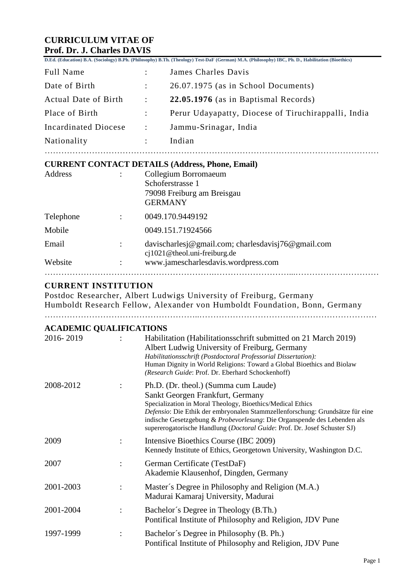# **CURRICULUM VITAE OF Prof. Dr. J. Charles DAVIS**

|                      |                        | D.Ed. (Education) B.A. (Sociology) B.Ph. (Philosophy) B.Th. (Theology) Test-DaF (German) M.A. (Philosophy) IBC, Ph. D., Habilitation (Bioethics) |
|----------------------|------------------------|--------------------------------------------------------------------------------------------------------------------------------------------------|
| Full Name            |                        | James Charles Davis                                                                                                                              |
| Date of Birth        | $\ddot{\phantom{a}}$   | 26.07.1975 (as in School Documents)                                                                                                              |
| Actual Date of Birth | $\ddot{\phantom{1}}$   | 22.05.1976 (as in Baptismal Records)                                                                                                             |
| Place of Birth       |                        | Perur Udayapatty, Diocese of Tiruchirappalli, India                                                                                              |
| Incardinated Diocese | $\ddot{\phantom{1}}$ : | Jammu-Srinagar, India                                                                                                                            |
| Nationality          |                        | Indian                                                                                                                                           |
|                      |                        |                                                                                                                                                  |

#### **CURRENT CONTACT DETAILS (Address, Phone, Email)**

| Address   | Collegium Borromaeum                                                                  |
|-----------|---------------------------------------------------------------------------------------|
|           | Schoferstrasse 1<br>79098 Freiburg am Breisgau<br><b>GERMANY</b>                      |
| Telephone | 0049.170.9449192                                                                      |
| Mobile    | 0049.151.71924566                                                                     |
| Email     | davischarlesj@gmail.com; charlesdavisj76@gmail.com<br>$ci1021@$ theol.uni-freiburg.de |
| Website   | www.jamescharlesdavis.wordpress.com                                                   |
|           |                                                                                       |

# **CURRENT INSTITUTION**

| Postdoc Researcher, Albert Ludwigs University of Freiburg, Germany         |
|----------------------------------------------------------------------------|
| Humboldt Research Fellow, Alexander von Humboldt Foundation, Bonn, Germany |
|                                                                            |

## **ACADEMIC QUALIFICATIONS**

| 2016-2019 |                      | Habilitation (Habilitations schrift submitted on 21 March 2019)<br>Albert Ludwig University of Freiburg, Germany<br>Habilitationsschrift (Postdoctoral Professorial Dissertation):<br>Human Dignity in World Religions: Toward a Global Bioethics and Biolaw<br>(Research Guide: Prof. Dr. Eberhard Schockenhoff)                                                                |
|-----------|----------------------|----------------------------------------------------------------------------------------------------------------------------------------------------------------------------------------------------------------------------------------------------------------------------------------------------------------------------------------------------------------------------------|
| 2008-2012 |                      | Ph.D. (Dr. theol.) (Summa cum Laude)<br>Sankt Georgen Frankfurt, Germany<br>Specialization in Moral Theology, Bioethics/Medical Ethics<br>Defensio: Die Ethik der embryonalen Stammzellenforschung: Grundsätze für eine<br>indische Gesetzgebung & Probevorlesung: Die Organspende des Lebenden als<br>supererogatorische Handlung (Doctoral Guide: Prof. Dr. Josef Schuster SJ) |
| 2009      | $\ddot{\phantom{0}}$ | Intensive Bioethics Course (IBC 2009)<br>Kennedy Institute of Ethics, Georgetown University, Washington D.C.                                                                                                                                                                                                                                                                     |
| 2007      |                      | German Certificate (TestDaF)<br>Akademie Klausenhof, Dingden, Germany                                                                                                                                                                                                                                                                                                            |
| 2001-2003 |                      | Master's Degree in Philosophy and Religion (M.A.)<br>Madurai Kamaraj University, Madurai                                                                                                                                                                                                                                                                                         |
| 2001-2004 |                      | Bachelor's Degree in Theology (B.Th.)<br>Pontifical Institute of Philosophy and Religion, JDV Pune                                                                                                                                                                                                                                                                               |
| 1997-1999 |                      | Bachelor's Degree in Philosophy (B. Ph.)<br>Pontifical Institute of Philosophy and Religion, JDV Pune                                                                                                                                                                                                                                                                            |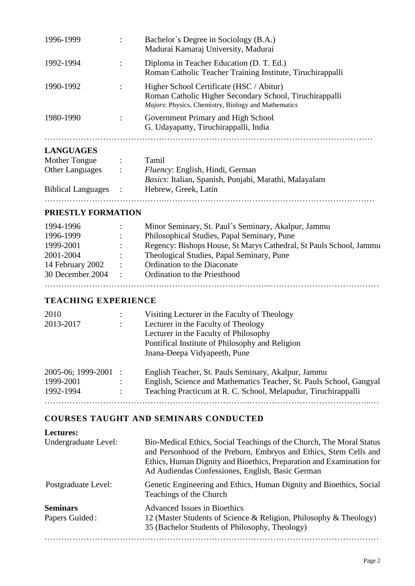| 1996-1999 | $\bullet$            | Bachelor's Degree in Sociology (B.A.)<br>Madurai Kamaraj University, Madurai                                                                                      |
|-----------|----------------------|-------------------------------------------------------------------------------------------------------------------------------------------------------------------|
| 1992-1994 |                      | Diploma in Teacher Education (D. T. Ed.)<br>Roman Catholic Teacher Training Institute, Tiruchirappalli                                                            |
| 1990-1992 | $\ddot{\phantom{a}}$ | Higher School Certificate (HSC / Abitur)<br>Roman Catholic Higher Secondary School, Tiruchirappalli<br><i>Majors:</i> Physics, Chemistry, Biology and Mathematics |
| 1980-1990 |                      | Government Primary and High School<br>G. Udayapatty, Tiruchirappalli, India                                                                                       |
|           |                      |                                                                                                                                                                   |

### **LANGUAGES**

| Mother Tongue             |                   | Tamil                                                 |
|---------------------------|-------------------|-------------------------------------------------------|
| <b>Other Languages</b>    | $\mathcal{L}$     | <i>Fluency:</i> English, Hindi, German                |
|                           |                   | Basics: Italian, Spanish, Punjabi, Marathi, Malayalam |
| <b>Biblical Languages</b> | $\sim$ 100 $\sim$ | Hebrew, Greek, Latin                                  |
|                           |                   |                                                       |

## **PRIESTLY FORMATION**

| 1994-1996        |                      | Minor Seminary, St. Paul's Seminary, Akalpur, Jammu                |
|------------------|----------------------|--------------------------------------------------------------------|
| 1996-1999        |                      | Philosophical Studies, Papal Seminary, Pune                        |
| 1999-2001        |                      | Regency: Bishops House, St Marys Cathedral, St Pauls School, Jammu |
| 2001-2004        |                      | Theological Studies, Papal Seminary, Pune                          |
| 14 February 2002 | $\ddot{\phantom{0}}$ | Ordination to the Diaconate                                        |
| 30 December 2004 | $\sim$               | Ordination to the Priesthood                                       |
|                  |                      |                                                                    |

#### **TEACHING EXPERIENCE**

| 2010                 |                      | Visiting Lecturer in the Faculty of Theology                        |
|----------------------|----------------------|---------------------------------------------------------------------|
| 2013-2017            |                      | Lecturer in the Faculty of Theology                                 |
|                      |                      | Lecturer in the Faculty of Philosophy                               |
|                      |                      | Pontifical Institute of Philosophy and Religion                     |
|                      |                      | Jnana-Deepa Vidyapeeth, Pune                                        |
| 2005-06; 1999-2001 : |                      | English Teacher, St. Pauls Seminary, Akalpur, Jammu                 |
| 1999-2001            |                      | English, Science and Mathematics Teacher, St. Pauls School, Gangyal |
| 1992-1994            | $\ddot{\phantom{a}}$ | Teaching Practicum at R. C. School, Melapudur, Tiruchirappalli      |
|                      |                      |                                                                     |

# **COURSES TAUGHT AND SEMINARS CONDUCTED**

| <b>Lectures:</b>                  |                                                                                                                                                                                                                                                                       |
|-----------------------------------|-----------------------------------------------------------------------------------------------------------------------------------------------------------------------------------------------------------------------------------------------------------------------|
| Undergraduate Level:              | Bio-Medical Ethics, Social Teachings of the Church, The Moral Status<br>and Personhood of the Preborn, Embryos and Ethics, Stem Cells and<br>Ethics, Human Dignity and Bioethics, Preparation and Examination for<br>Ad Audiendas Confessiones, English, Basic German |
| Postgraduate Level:               | Genetic Engineering and Ethics, Human Dignity and Bioethics, Social<br>Teachings of the Church                                                                                                                                                                        |
| <b>Seminars</b><br>Papers Guided: | <b>Advanced Issues in Bioethics</b><br>12 (Master Students of Science & Religion, Philosophy & Theology)<br>35 (Bachelor Students of Philosophy, Theology)                                                                                                            |
|                                   |                                                                                                                                                                                                                                                                       |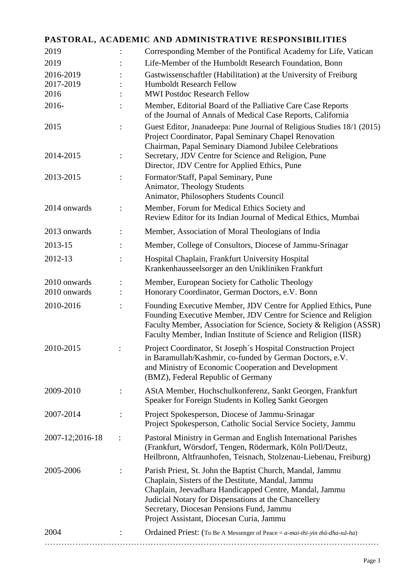# **PASTORAL, ACADEMIC AND ADMINISTRATIVE RESPONSIBILITIES**

| 2019                         | Corresponding Member of the Pontifical Academy for Life, Vatican                                                                                                                                                                                                                                                         |
|------------------------------|--------------------------------------------------------------------------------------------------------------------------------------------------------------------------------------------------------------------------------------------------------------------------------------------------------------------------|
| 2019                         | Life-Member of the Humboldt Research Foundation, Bonn                                                                                                                                                                                                                                                                    |
| 2016-2019                    | Gastwissenschaftler (Habilitation) at the University of Freiburg                                                                                                                                                                                                                                                         |
| 2017-2019                    | <b>Humboldt Research Fellow</b>                                                                                                                                                                                                                                                                                          |
| 2016                         | <b>MWI Postdoc Research Fellow</b>                                                                                                                                                                                                                                                                                       |
| 2016-                        | Member, Editorial Board of the Palliative Care Case Reports<br>of the Journal of Annals of Medical Case Reports, California                                                                                                                                                                                              |
| 2015                         | Guest Editor, Jnanadeepa: Pune Journal of Religious Studies 18/1 (2015)<br>Project Coordinator, Papal Seminary Chapel Renovation<br>Chairman, Papal Seminary Diamond Jubilee Celebrations                                                                                                                                |
| 2014-2015                    | Secretary, JDV Centre for Science and Religion, Pune<br>Director, JDV Centre for Applied Ethics, Pune                                                                                                                                                                                                                    |
| 2013-2015                    | Formator/Staff, Papal Seminary, Pune<br>Animator, Theology Students<br>Animator, Philosophers Students Council                                                                                                                                                                                                           |
| 2014 onwards                 | Member, Forum for Medical Ethics Society and<br>Review Editor for its Indian Journal of Medical Ethics, Mumbai                                                                                                                                                                                                           |
| 2013 onwards                 | Member, Association of Moral Theologians of India                                                                                                                                                                                                                                                                        |
| 2013-15                      | Member, College of Consultors, Diocese of Jammu-Srinagar                                                                                                                                                                                                                                                                 |
| 2012-13                      | Hospital Chaplain, Frankfurt University Hospital<br>Krankenhausseelsorger an den Unikliniken Frankfurt                                                                                                                                                                                                                   |
| 2010 onwards<br>2010 onwards | Member, European Society for Catholic Theology<br>Honorary Coordinator, German Doctors, e.V. Bonn                                                                                                                                                                                                                        |
| 2010-2016                    | Founding Executive Member, JDV Centre for Applied Ethics, Pune<br>Founding Executive Member, JDV Centre for Science and Religion<br>Faculty Member, Association for Science, Society & Religion (ASSR)<br>Faculty Member, Indian Institute of Science and Religion (IISR)                                                |
| 2010-2015                    | Project Coordinator, St Joseph's Hospital Construction Project<br>in Baramullah/Kashmir, co-funded by German Doctors, e.V.<br>and Ministry of Economic Cooperation and Development<br>(BMZ), Federal Republic of Germany                                                                                                 |
| 2009-2010                    | AStA Member, Hochschulkonferenz, Sankt Georgen, Frankfurt<br>Speaker for Foreign Students in Kolleg Sankt Georgen                                                                                                                                                                                                        |
| 2007-2014                    | Project Spokesperson, Diocese of Jammu-Srinagar<br>Project Spokesperson, Catholic Social Service Society, Jammu                                                                                                                                                                                                          |
| 2007-12;2016-18              | Pastoral Ministry in German and English International Parishes<br>(Frankfurt, Wörsdorf, Tengen, Rödermark, Köln Poll/Deutz,<br>Heilbronn, Altfraunhofen, Teisnach, Stolzenau-Liebenau, Freiburg)                                                                                                                         |
| 2005-2006                    | Parish Priest, St. John the Baptist Church, Mandal, Jammu<br>Chaplain, Sisters of the Destitute, Mandal, Jammu<br>Chaplain, Jeevadhara Handicapped Centre, Mandal, Jammu<br>Judicial Notary for Dispensations at the Chancellery<br>Secretary, Diocesan Pensions Fund, Jammu<br>Project Assistant, Diocesan Curia, Jammu |
| 2004                         | Ordained Priest: (To Be A Messenger of Peace = $a$ -mai-thi-yin thū-dha-nā-ha)                                                                                                                                                                                                                                           |
|                              |                                                                                                                                                                                                                                                                                                                          |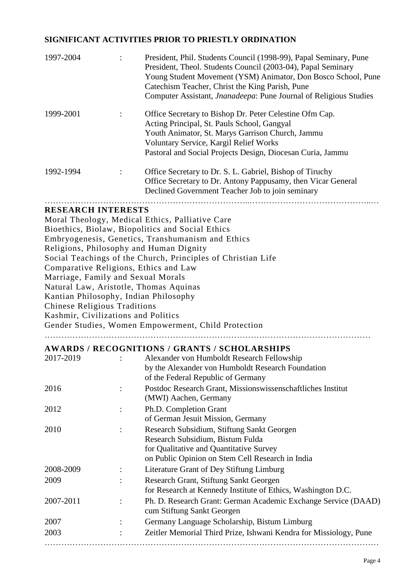# **SIGNIFICANT ACTIVITIES PRIOR TO PRIESTLY ORDINATION**

| 1997-2004                          |                      | President, Phil. Students Council (1998-99), Papal Seminary, Pune<br>President, Theol. Students Council (2003-04), Papal Seminary<br>Young Student Movement (YSM) Animator, Don Bosco School, Pune<br>Catechism Teacher, Christ the King Parish, Pune<br>Computer Assistant, <i>Jnanadeepa</i> : Pune Journal of Religious Studies |
|------------------------------------|----------------------|------------------------------------------------------------------------------------------------------------------------------------------------------------------------------------------------------------------------------------------------------------------------------------------------------------------------------------|
| 1999-2001                          |                      | Office Secretary to Bishop Dr. Peter Celestine Ofm Cap.<br>Acting Principal, St. Pauls School, Gangyal<br>Youth Animator, St. Marys Garrison Church, Jammu<br>Voluntary Service, Kargil Relief Works<br>Pastoral and Social Projects Design, Diocesan Curia, Jammu                                                                 |
| 1992-1994                          | $\ddot{\phantom{0}}$ | Office Secretary to Dr. S. L. Gabriel, Bishop of Tiruchy<br>Office Secretary to Dr. Antony Pappusamy, then Vicar General<br>Declined Government Teacher Job to join seminary                                                                                                                                                       |
| <b>RESEARCH INTERESTS</b>          |                      |                                                                                                                                                                                                                                                                                                                                    |
|                                    |                      | Moral Theology, Medical Ethics, Palliative Care                                                                                                                                                                                                                                                                                    |
|                                    |                      | Bioethics, Biolaw, Biopolitics and Social Ethics                                                                                                                                                                                                                                                                                   |
|                                    |                      | Embryogenesis, Genetics, Transhumanism and Ethics                                                                                                                                                                                                                                                                                  |
|                                    |                      | Religions, Philosophy and Human Dignity                                                                                                                                                                                                                                                                                            |
|                                    |                      | Social Teachings of the Church, Principles of Christian Life                                                                                                                                                                                                                                                                       |
|                                    |                      | Comparative Religions, Ethics and Law                                                                                                                                                                                                                                                                                              |
| Marriage, Family and Sexual Morals |                      |                                                                                                                                                                                                                                                                                                                                    |
|                                    |                      |                                                                                                                                                                                                                                                                                                                                    |

Natural Law, Aristotle, Thomas Aquinas

Kantian Philosophy, Indian Philosophy

Chinese Religious Traditions

Kashmir, Civilizations and Politics

Gender Studies, Women Empowerment, Child Protection

………………………………………………………………………………………………………

#### **AWARDS / RECOGNITIONS / GRANTS / SCHOLARSHIPS**

| 2017-2019 |                | Alexander von Humboldt Research Fellowship                        |
|-----------|----------------|-------------------------------------------------------------------|
|           |                | by the Alexander von Humboldt Research Foundation                 |
|           |                | of the Federal Republic of Germany                                |
| 2016      | $\ddot{\cdot}$ | Postdoc Research Grant, Missionswissenschaftliches Institut       |
|           |                | (MWI) Aachen, Germany                                             |
| 2012      | ÷              | Ph.D. Completion Grant                                            |
|           |                | of German Jesuit Mission, Germany                                 |
| 2010      | $\ddot{\cdot}$ | Research Subsidium, Stiftung Sankt Georgen                        |
|           |                | Research Subsidium, Bistum Fulda                                  |
|           |                | for Qualitative and Quantitative Survey                           |
|           |                | on Public Opinion on Stem Cell Research in India                  |
| 2008-2009 |                | Literature Grant of Dey Stiftung Limburg                          |
| 2009      | $\bullet$      | Research Grant, Stiftung Sankt Georgen                            |
|           |                | for Research at Kennedy Institute of Ethics, Washington D.C.      |
| 2007-2011 |                | Ph. D. Research Grant: German Academic Exchange Service (DAAD)    |
|           |                | cum Stiftung Sankt Georgen                                        |
| 2007      | $\ddot{\cdot}$ | Germany Language Scholarship, Bistum Limburg                      |
| 2003      |                | Zeitler Memorial Third Prize, Ishwani Kendra for Missiology, Pune |
|           |                |                                                                   |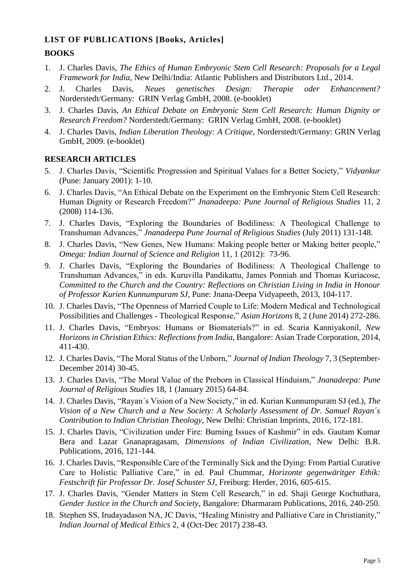# **LIST OF PUBLICATIONS [Books, Articles]**

# **BOOKS**

- 1. J. Charles Davis, *The Ethics of Human Embryonic Stem Cell Research: Proposals for a Legal Framework for India*, New Delhi/India: Atlantic Publishers and Distributors Ltd., 2014.
- 2. J. Charles Davis, *Neues genetisches Design: Therapie oder Enhancement?* Norderstedt/Germany: GRIN Verlag GmbH, 2008. (e-booklet)
- 3. J. Charles Davis, *An Ethical Debate on Embryonic Stem Cell Research: Human Dignity or Research Freedom?* Norderstedt/Germany: GRIN Verlag GmbH, 2008. (e-booklet)
- 4. J. Charles Davis, *Indian Liberation Theology: A Critique*, Norderstedt/Germany: GRIN Verlag GmbH, 2009. (e-booklet)

# **RESEARCH ARTICLES**

- 5. J. Charles Davis, "Scientific Progression and Spiritual Values for a Better Society," *Vidyankur*  (Pune: January 2001): 1-10.
- 6. J. Charles Davis, "An Ethical Debate on the Experiment on the Embryonic Stem Cell Research: Human Dignity or Research Freedom?" *Jnanadeepa: Pune Journal of Religious Studies* 11, 2 (2008) 114-136.
- 7. J. Charles Davis, "Exploring the Boundaries of Bodiliness: A Theological Challenge to Transhuman Advances," *Jnanadeepa Pune Journal of Religious Studies* (July 2011) 131-148.
- 8. J. Charles Davis, "New Genes, New Humans: Making people better or Making better people," *Omega: Indian Journal of Science and Religion* 11, 1 (2012): 73-96.
- 9. J. Charles Davis, "Exploring the Boundaries of Bodiliness: A Theological Challenge to Transhuman Advances," in eds. Kuruvilla Pandikattu, James Ponniah and Thomas Kuriacose, *Committed to the Church and the Country: Reflections on Christian Living in India in Honour of Professor Kurien Kunnumpuram SJ*, Pune: Jnana-Deepa Vidyapeeth, 2013, 104-117.
- 10. J. Charles Davis, "The Openness of Married Couple to Life: Modern Medical and Technological Possibilities and Challenges - Theological Response," *Asian Horizons* 8, 2 (June 2014) 272-286.
- 11. J. Charles Davis, "Embryos: Humans or Biomaterials?" in ed. Scaria Kanniyakonil, *New Horizons in Christian Ethics: Reflections from India*, Bangalore: Asian Trade Corporation, 2014, 411-430.
- 12. J. Charles Davis, "The Moral Status of the Unborn," *Journal of Indian Theology* 7, 3 (September-December 2014) 30-45.
- 13. J. Charles Davis, "The Moral Value of the Preborn in Classical Hinduism," *Jnanadeepa: Pune Journal of Religious Studies* 18, 1 (January 2015) 64-84.
- 14. J. Charles Davis, "Rayan´s Vision of a New Society," in ed. Kurian Kunnumpuram SJ (ed.), *The Vision of a New Church and a New Society: A Scholarly Assessment of Dr. Samuel Rayan´s Contribution to Indian Christian Theology*, New Delhi: Christian Imprints, 2016, 172-181.
- 15. J. Charles Davis, "Civilization under Fire: Burning Issues of Kashmir" in eds. Gautam Kumar Bera and Lazar Gnanapragasam, *Dimensions of Indian Civilization*, New Delhi: B.R. Publications, 2016, 121-144.
- 16. J. Charles Davis, "Responsible Care of the Terminally Sick and the Dying: From Partial Curative Care to Holistic Palliative Care," in ed. Paul Chummar, *Horizonte gegenwäritger Ethik: Festschrift für Professor Dr. Josef Schuster SJ*, Freiburg: Herder, 2016, 605-615.
- 17. J. Charles Davis, "Gender Matters in Stem Cell Research," in ed. Shaji George Kochuthara, *Gender Justice in the Church and Society*, Bangalore: Dharmaram Publications, 2016, 240-250.
- 18. Stephen SS, Irudayadason NA, JC Davis, "Healing Ministry and Palliative Care in Christianity," *Indian Journal of Medical Ethics* 2, 4 (Oct-Dec 2017) 238-43.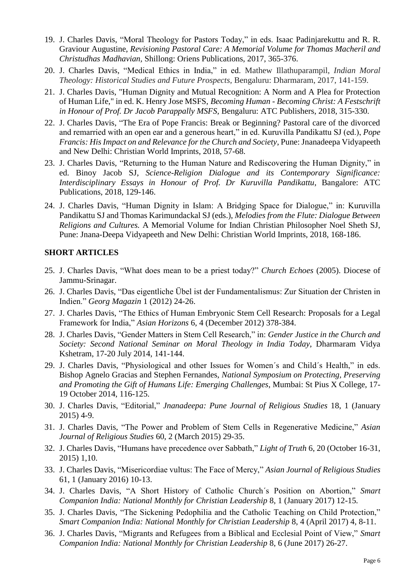- 19. J. Charles Davis, "Moral Theology for Pastors Today," in eds. Isaac Padinjarekuttu and R. R. Graviour Augustine, *Revisioning Pastoral Care: A Memorial Volume for Thomas Macheril and Christudhas Madhavian,* Shillong: Oriens Publications, 2017, 365-376.
- 20. J. Charles Davis, "Medical Ethics in India," in ed. Mathew Illathuparampil, *Indian Moral Theology: Historical Studies and Future Prospects,* Bengaluru: Dharmaram, 2017, 141-159.
- 21. J. Charles Davis, "Human Dignity and Mutual Recognition: A Norm and A Plea for Protection of Human Life," in ed. K. Henry Jose MSFS, *Becoming Human - Becoming Christ: A Festschrift in Honour of Prof. Dr Jacob Parappally MSFS,* Bengaluru: ATC Publishers, 2018, 315-330.
- 22. J. Charles Davis, "The Era of Pope Francis: Break or Beginning? Pastoral care of the divorced and remarried with an open ear and a generous heart," in ed. Kuruvilla Pandikattu SJ (ed.), *Pope Francis: His Impact on and Relevance for the Church and Society*, Pune: Jnanadeepa Vidyapeeth and New Delhi: Christian World Imprints, 2018, 57-68.
- 23. J. Charles Davis, "Returning to the Human Nature and Rediscovering the Human Dignity," in ed. Binoy Jacob SJ, *Science-Religion Dialogue and its Contemporary Significance: Interdisciplinary Essays in Honour of Prof. Dr Kuruvilla Pandikattu*, Bangalore: ATC Publications, 2018, 129-146.
- 24. J. Charles Davis, "Human Dignity in Islam: A Bridging Space for Dialogue," in: Kuruvilla Pandikattu SJ and Thomas Karimundackal SJ (eds.), *Melodies from the Flute: Dialogue Between Religions and Cultures.* A Memorial Volume for Indian Christian Philosopher Noel Sheth SJ, Pune: Jnana-Deepa Vidyapeeth and New Delhi: Christian World Imprints, 2018, 168-186.

#### **SHORT ARTICLES**

- 25. J. Charles Davis, "What does mean to be a priest today?" *Church Echoes* (2005). Diocese of Jammu-Srinagar.
- 26. J. Charles Davis, "Das eigentliche Übel ist der Fundamentalismus: Zur Situation der Christen in Indien." *Georg Magazin* 1 (2012) 24-26.
- 27. J. Charles Davis, "The Ethics of Human Embryonic Stem Cell Research: Proposals for a Legal Framework for India," *Asian Horizons* 6, 4 (December 2012) 378-384.
- 28. J. Charles Davis, "Gender Matters in Stem Cell Research," in: *Gender Justice in the Church and Society: Second National Seminar on Moral Theology in India Today*, Dharmaram Vidya Kshetram, 17-20 July 2014, 141-144.
- 29. J. Charles Davis, "Physiological and other Issues for Women´s and Child´s Health," in eds. Bishop Agnelo Gracias and Stephen Fernandes, *National Symposium on Protecting, Preserving and Promoting the Gift of Humans Life: Emerging Challenges*, Mumbai: St Pius X College, 17- 19 October 2014, 116-125.
- 30. J. Charles Davis, "Editorial," *Jnanadeepa: Pune Journal of Religious Studies* 18, 1 (January 2015) 4-9.
- 31. J. Charles Davis, "The Power and Problem of Stem Cells in Regenerative Medicine," *Asian Journal of Religious Studies* 60, 2 (March 2015) 29-35.
- 32. J. Charles Davis, "Humans have precedence over Sabbath," *Light of Truth* 6, 20 (October 16-31, 2015) 1,10.
- 33. J. Charles Davis, "Misericordiae vultus: The Face of Mercy," *Asian Journal of Religious Studies*  61, 1 (January 2016) 10-13.
- 34. J. Charles Davis, "A Short History of Catholic Church´s Position on Abortion," *Smart Companion India: National Monthly for Christian Leadership* 8, 1 (January 2017) 12-15*.*
- 35. J. Charles Davis, "The Sickening Pedophilia and the Catholic Teaching on Child Protection," *Smart Companion India: National Monthly for Christian Leadership* 8, 4 (April 2017) 4, 8-11.
- 36. J. Charles Davis, "Migrants and Refugees from a Biblical and Ecclesial Point of View," *Smart Companion India: National Monthly for Christian Leadership* 8, 6 (June 2017) 26-27.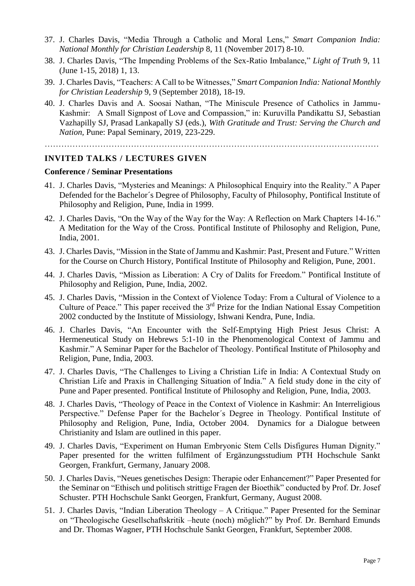- 37. J. Charles Davis, "Media Through a Catholic and Moral Lens," *Smart Companion India: National Monthly for Christian Leadership* 8, 11 (November 2017) 8-10.
- 38. J. Charles Davis, "The Impending Problems of the Sex-Ratio Imbalance," *Light of Truth* 9, 11 (June 1-15, 2018) 1, 13.
- 39. J. Charles Davis, "Teachers: A Call to be Witnesses," *Smart Companion India: National Monthly for Christian Leadership* 9, 9 (September 2018), 18-19.
- 40. J. Charles Davis and A. Soosai Nathan, "The Miniscule Presence of Catholics in Jammu-Kashmir: A Small Signpost of Love and Compassion," in: Kuruvilla Pandikattu SJ, Sebastian Vazhapilly SJ, Prasad Lankapally SJ (eds.), *With Gratitude and Trust: Serving the Church and Nation,* Pune: Papal Seminary, 2019, 223-229.

…………………………………………………………………………………………………………

#### **INVITED TALKS / LECTURES GIVEN**

#### **Conference / Seminar Presentations**

- 41. J. Charles Davis, "Mysteries and Meanings: A Philosophical Enquiry into the Reality." A Paper Defended for the Bachelor´s Degree of Philosophy, Faculty of Philosophy, Pontifical Institute of Philosophy and Religion, Pune, India in 1999.
- 42. J. Charles Davis, "On the Way of the Way for the Way: A Reflection on Mark Chapters 14-16." A Meditation for the Way of the Cross. Pontifical Institute of Philosophy and Religion, Pune, India, 2001.
- 43. J. Charles Davis, "Mission in the State of Jammu and Kashmir: Past, Present and Future." Written for the Course on Church History, Pontifical Institute of Philosophy and Religion, Pune, 2001.
- 44. J. Charles Davis, "Mission as Liberation: A Cry of Dalits for Freedom." Pontifical Institute of Philosophy and Religion, Pune, India, 2002.
- 45. J. Charles Davis, "Mission in the Context of Violence Today: From a Cultural of Violence to a Culture of Peace." This paper received the 3<sup>rd</sup> Prize for the Indian National Essay Competition 2002 conducted by the Institute of Missiology, Ishwani Kendra, Pune, India.
- 46. J. Charles Davis, "An Encounter with the Self-Emptying High Priest Jesus Christ: A Hermeneutical Study on Hebrews 5:1-10 in the Phenomenological Context of Jammu and Kashmir." A Seminar Paper for the Bachelor of Theology. Pontifical Institute of Philosophy and Religion, Pune, India, 2003.
- 47. J. Charles Davis, "The Challenges to Living a Christian Life in India: A Contextual Study on Christian Life and Praxis in Challenging Situation of India." A field study done in the city of Pune and Paper presented. Pontifical Institute of Philosophy and Religion, Pune, India, 2003.
- 48. J. Charles Davis, "Theology of Peace in the Context of Violence in Kashmir: An Interreligious Perspective." Defense Paper for the Bachelor´s Degree in Theology. Pontifical Institute of Philosophy and Religion, Pune, India, October 2004. Dynamics for a Dialogue between Christianity and Islam are outlined in this paper.
- 49. J. Charles Davis, "Experiment on Human Embryonic Stem Cells Disfigures Human Dignity." Paper presented for the written fulfilment of Ergänzungsstudium PTH Hochschule Sankt Georgen, Frankfurt, Germany, January 2008.
- 50. J. Charles Davis, "Neues genetisches Design: Therapie oder Enhancement?" Paper Presented for the Seminar on "Ethisch und politisch strittige Fragen der Bioethik" conducted by Prof. Dr. Josef Schuster. PTH Hochschule Sankt Georgen, Frankfurt, Germany, August 2008.
- 51. J. Charles Davis, "Indian Liberation Theology A Critique." Paper Presented for the Seminar on "Theologische Gesellschaftskritik –heute (noch) möglich?" by Prof. Dr. Bernhard Emunds and Dr. Thomas Wagner, PTH Hochschule Sankt Georgen, Frankfurt, September 2008.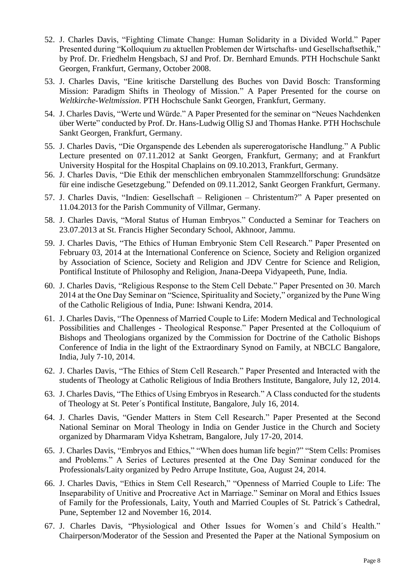- 52. J. Charles Davis, "Fighting Climate Change: Human Solidarity in a Divided World." Paper Presented during "Kolloquium zu aktuellen Problemen der Wirtschafts- und Gesellschaftsethik," by Prof. Dr. Friedhelm Hengsbach, SJ and Prof. Dr. Bernhard Emunds. PTH Hochschule Sankt Georgen, Frankfurt, Germany, October 2008.
- 53. J. Charles Davis, "Eine kritische Darstellung des Buches von David Bosch: Transforming Mission: Paradigm Shifts in Theology of Mission." A Paper Presented for the course on *Weltkirche-Weltmission*. PTH Hochschule Sankt Georgen, Frankfurt, Germany.
- 54. J. Charles Davis, "Werte und Würde." A Paper Presented for the seminar on "Neues Nachdenken über Werte" conducted by Prof. Dr. Hans-Ludwig Ollig SJ and Thomas Hanke. PTH Hochschule Sankt Georgen, Frankfurt, Germany.
- 55. J. Charles Davis, "Die Organspende des Lebenden als supererogatorische Handlung." A Public Lecture presented on 07.11.2012 at Sankt Georgen, Frankfurt, Germany; and at Frankfurt University Hospital for the Hospital Chaplains on 09.10.2013, Frankfurt, Germany.
- 56. J. Charles Davis, "Die Ethik der menschlichen embryonalen Stammzellforschung: Grundsätze für eine indische Gesetzgebung." Defended on 09.11.2012, Sankt Georgen Frankfurt, Germany.
- 57. J. Charles Davis, "Indien: Gesellschaft Religionen Christentum?" A Paper presented on 11.04.2013 for the Parish Community of Villmar, Germany.
- 58. J. Charles Davis, "Moral Status of Human Embryos." Conducted a Seminar for Teachers on 23.07.2013 at St. Francis Higher Secondary School, Akhnoor, Jammu.
- 59. J. Charles Davis, "The Ethics of Human Embryonic Stem Cell Research." Paper Presented on February 03, 2014 at the International Conference on Science, Society and Religion organized by Association of Science, Society and Religion and JDV Centre for Science and Religion, Pontifical Institute of Philosophy and Religion, Jnana-Deepa Vidyapeeth, Pune, India.
- 60. J. Charles Davis, "Religious Response to the Stem Cell Debate." Paper Presented on 30. March 2014 at the One Day Seminar on "Science, Spirituality and Society," organized by the Pune Wing of the Catholic Religious of India, Pune: Ishwani Kendra, 2014.
- 61. J. Charles Davis, "The Openness of Married Couple to Life: Modern Medical and Technological Possibilities and Challenges - Theological Response." Paper Presented at the Colloquium of Bishops and Theologians organized by the Commission for Doctrine of the Catholic Bishops Conference of India in the light of the Extraordinary Synod on Family, at NBCLC Bangalore, India, July 7-10, 2014.
- 62. J. Charles Davis, "The Ethics of Stem Cell Research." Paper Presented and Interacted with the students of Theology at Catholic Religious of India Brothers Institute, Bangalore, July 12, 2014.
- 63. J. Charles Davis, "The Ethics of Using Embryos in Research." A Class conducted for the students of Theology at St. Peter´s Pontifical Institute, Bangalore, July 16, 2014.
- 64. J. Charles Davis, "Gender Matters in Stem Cell Research." Paper Presented at the Second National Seminar on Moral Theology in India on Gender Justice in the Church and Society organized by Dharmaram Vidya Kshetram, Bangalore, July 17-20, 2014.
- 65. J. Charles Davis, "Embryos and Ethics," "When does human life begin?" "Stem Cells: Promises and Problems." A Series of Lectures presented at the One Day Seminar conduced for the Professionals/Laity organized by Pedro Arrupe Institute, Goa, August 24, 2014.
- 66. J. Charles Davis, "Ethics in Stem Cell Research," "Openness of Married Couple to Life: The Inseparability of Unitive and Procreative Act in Marriage." Seminar on Moral and Ethics Issues of Family for the Professionals, Laity, Youth and Married Couples of St. Patrick´s Cathedral, Pune, September 12 and November 16, 2014.
- 67. J. Charles Davis, "Physiological and Other Issues for Women´s and Child´s Health." Chairperson/Moderator of the Session and Presented the Paper at the National Symposium on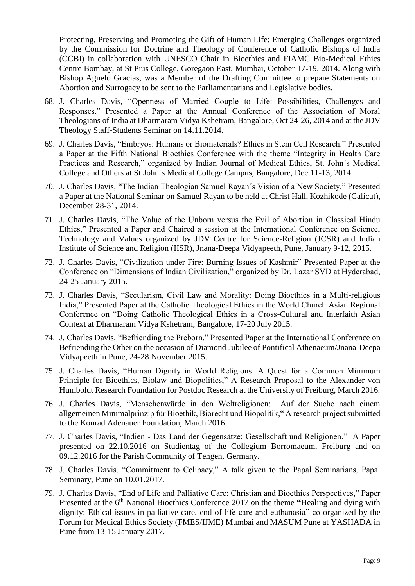Protecting, Preserving and Promoting the Gift of Human Life: Emerging Challenges organized by the Commission for Doctrine and Theology of Conference of Catholic Bishops of India (CCBI) in collaboration with UNESCO Chair in Bioethics and FIAMC Bio-Medical Ethics Centre Bombay, at St Pius College, Goregaon East, Mumbai, October 17-19, 2014. Along with Bishop Agnelo Gracias, was a Member of the Drafting Committee to prepare Statements on Abortion and Surrogacy to be sent to the Parliamentarians and Legislative bodies.

- 68. J. Charles Davis, "Openness of Married Couple to Life: Possibilities, Challenges and Responses." Presented a Paper at the Annual Conference of the Association of Moral Theologians of India at Dharmaram Vidya Kshetram, Bangalore, Oct 24-26, 2014 and at the JDV Theology Staff-Students Seminar on 14.11.2014.
- 69. J. Charles Davis, "Embryos: Humans or Biomaterials? Ethics in Stem Cell Research." Presented a Paper at the Fifth National Bioethics Conference with the theme "Integrity in Health Care Practices and Research," organized by Indian Journal of Medical Ethics, St. John´s Medical College and Others at St John´s Medical College Campus, Bangalore, Dec 11-13, 2014.
- 70. J. Charles Davis, "The Indian Theologian Samuel Rayan´s Vision of a New Society." Presented a Paper at the National Seminar on Samuel Rayan to be held at Christ Hall, Kozhikode (Calicut), December 28-31, 2014.
- 71. J. Charles Davis, "The Value of the Unborn versus the Evil of Abortion in Classical Hindu Ethics," Presented a Paper and Chaired a session at the International Conference on Science, Technology and Values organized by JDV Centre for Science-Religion (JCSR) and Indian Institute of Science and Religion (IISR), Jnana-Deepa Vidyapeeth, Pune, January 9-12, 2015.
- 72. J. Charles Davis, "Civilization under Fire: Burning Issues of Kashmir" Presented Paper at the Conference on "Dimensions of Indian Civilization," organized by Dr. Lazar SVD at Hyderabad, 24-25 January 2015.
- 73. J. Charles Davis, "Secularism, Civil Law and Morality: Doing Bioethics in a Multi-religious India," Presented Paper at the Catholic Theological Ethics in the World Church Asian Regional Conference on "Doing Catholic Theological Ethics in a Cross-Cultural and Interfaith Asian Context at Dharmaram Vidya Kshetram, Bangalore, 17-20 July 2015.
- 74. J. Charles Davis, "Befriending the Preborn," Presented Paper at the International Conference on Befriending the Other on the occasion of Diamond Jubilee of Pontifical Athenaeum/Jnana-Deepa Vidyapeeth in Pune, 24-28 November 2015.
- 75. J. Charles Davis, "Human Dignity in World Religions: A Quest for a Common Minimum Principle for Bioethics, Biolaw and Biopolitics," A Research Proposal to the Alexander von Humboldt Research Foundation for Postdoc Research at the University of Freiburg, March 2016.
- 76. J. Charles Davis, "Menschenwürde in den Weltreligionen: Auf der Suche nach einem allgemeinen Minimalprinzip für Bioethik, Biorecht und Biopolitik," A research project submitted to the Konrad Adenauer Foundation, March 2016.
- 77. J. Charles Davis, "Indien Das Land der Gegensätze: Gesellschaft und Religionen." A Paper presented on 22.10.2016 on Studientag of the Collegium Borromaeum, Freiburg and on 09.12.2016 for the Parish Community of Tengen, Germany.
- 78. J. Charles Davis, "Commitment to Celibacy," A talk given to the Papal Seminarians, Papal Seminary, Pune on 10.01.2017.
- 79. J. Charles Davis, "End of Life and Palliative Care: Christian and Bioethics Perspectives," Paper Presented at the 6<sup>th</sup> National Bioethics Conference 2017 on the theme "Healing and dying with dignity: Ethical issues in palliative care, end-of-life care and euthanasia" co-organized by the Forum for Medical Ethics Society (FMES/IJME) Mumbai and MASUM Pune at YASHADA in Pune from 13-15 January 2017.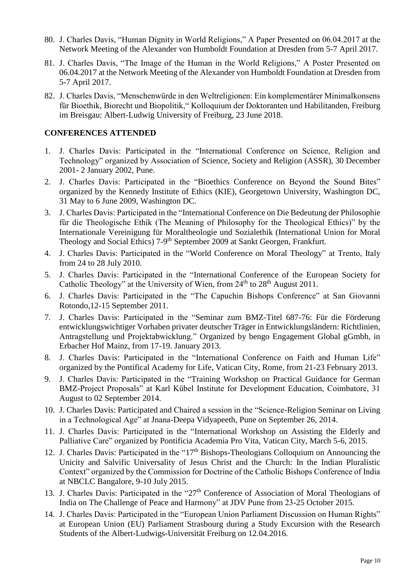- 80. J. Charles Davis, "Human Dignity in World Religions," A Paper Presented on 06.04.2017 at the Network Meeting of the Alexander von Humboldt Foundation at Dresden from 5-7 April 2017.
- 81. J. Charles Davis, "The Image of the Human in the World Religions," A Poster Presented on 06.04.2017 at the Network Meeting of the Alexander von Humboldt Foundation at Dresden from 5-7 April 2017.
- 82. J. Charles Davis, "Menschenwürde in den Weltreligionen: Ein komplementärer Minimalkonsens für Bioethik, Biorecht und Biopolitik," Kolloquium der Doktoranten und Habilitanden, Freiburg im Breisgau: Albert-Ludwig University of Freiburg, 23 June 2018.

## **CONFERENCES ATTENDED**

- 1. J. Charles Davis: Participated in the "International Conference on Science, Religion and Technology" organized by Association of Science, Society and Religion (ASSR), 30 December 2001- 2 January 2002, Pune.
- 2. J. Charles Davis: Participated in the "Bioethics Conference on Beyond the Sound Bites" organized by the Kennedy Institute of Ethics (KIE), Georgetown University, Washington DC, 31 May to 6 June 2009, Washington DC.
- 3. J. Charles Davis: Participated in the "International Conference on Die Bedeutung der Philosophie für die Theologische Ethik (The Meaning of Philosophy for the Theological Ethics)" by the Internationale Vereinigung für Moraltheologie und Sozialethik (International Union for Moral Theology and Social Ethics) 7-9<sup>th</sup> September 2009 at Sankt Georgen, Frankfurt.
- 4. J. Charles Davis: Participated in the "World Conference on Moral Theology" at Trento, Italy from 24 to 28 July 2010.
- 5. J. Charles Davis: Participated in the "International Conference of the European Society for Catholic Theology" at the University of Wien, from  $24<sup>th</sup>$  to  $28<sup>th</sup>$  August 2011.
- 6. J. Charles Davis: Participated in the "The Capuchin Bishops Conference" at San Giovanni Rotondo,12-15 September 2011.
- 7. J. Charles Davis: Participated in the "Seminar zum BMZ-Titel 687-76: Für die Förderung entwicklungswichtiger Vorhaben privater deutscher Träger in Entwicklungsländern: Richtlinien, Antragstellung und Projektabwicklung." Organized by bengo Engagement Global gGmbh, in Erbacher Hof Mainz, from 17-19. January 2013.
- 8. J. Charles Davis: Participated in the "International Conference on Faith and Human Life" organized by the Pontifical Academy for Life, Vatican City, Rome, from 21-23 February 2013.
- 9. J. Charles Davis: Participated in the "Training Workshop on Practical Guidance for German BMZ-Project Proposals" at Karl Kübel Institute for Development Education, Coimbatore, 31 August to 02 September 2014.
- 10. J. Charles Davis: Participated and Chaired a session in the "Science-Religion Seminar on Living in a Technological Age" at Jnana-Deepa Vidyapeeth, Pune on September 26, 2014.
- 11. J. Charles Davis: Participated in the "International Workshop on Assisting the Elderly and Palliative Care" organized by Pontificia Academia Pro Vita, Vatican City, March 5-6, 2015.
- 12. J. Charles Davis: Participated in the "17<sup>th</sup> Bishops-Theologians Colloquium on Announcing the Unicity and Salvific Universality of Jesus Christ and the Church: In the Indian Pluralistic Context" organized by the Commission for Doctrine of the Catholic Bishops Conference of India at NBCLC Bangalore, 9-10 July 2015.
- 13. J. Charles Davis: Participated in the "27<sup>th</sup> Conference of Association of Moral Theologians of India on The Challenge of Peace and Harmony" at JDV Pune from 23-25 October 2015.
- 14. J. Charles Davis: Participated in the "European Union Parliament Discussion on Human Rights" at European Union (EU) Parliament Strasbourg during a Study Excursion with the Research Students of the Albert-Ludwigs-Universität Freiburg on 12.04.2016.